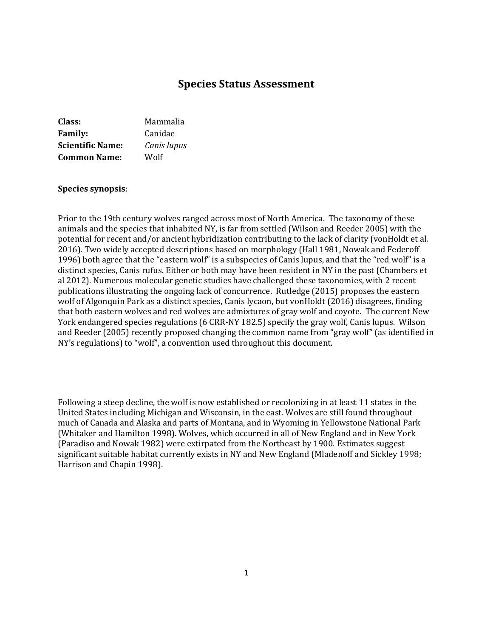# **Species Status Assessment**

| Class:                  | Mammalia    |
|-------------------------|-------------|
| <b>Family:</b>          | Canidae     |
| <b>Scientific Name:</b> | Canis lupus |
| <b>Common Name:</b>     | Wolf        |

#### **Species synopsis**:

Prior to the 19th century wolves ranged across most of North America. The taxonomy of these animals and the species that inhabited NY, is far from settled (Wilson and Reeder 2005) with the potential for recent and/or ancient hybridization contributing to the lack of clarity (vonHoldt et al. 2016). Two widely accepted descriptions based on morphology (Hall 1981, Nowak and Federoff 1996) both agree that the "eastern wolf" is a subspecies of Canis lupus, and that the "red wolf" is a distinct species, Canis rufus. Either or both may have been resident in NY in the past (Chambers et al 2012). Numerous molecular genetic studies have challenged these taxonomies, with 2 recent publications illustrating the ongoing lack of concurrence. Rutledge (2015) proposes the eastern wolf of Algonquin Park as a distinct species, Canis lycaon, but vonHoldt (2016) disagrees, finding that both eastern wolves and red wolves are admixtures of gray wolf and coyote. The current New York endangered species regulations (6 CRR-NY 182.5) specify the gray wolf, Canis lupus. Wilson and Reeder (2005) recently proposed changing the common name from "gray wolf" (as identified in NY's regulations) to "wolf", a convention used throughout this document.

Following a steep decline, the wolf is now established or recolonizing in at least 11 states in the United States including Michigan and Wisconsin, in the east. Wolves are still found throughout much of Canada and Alaska and parts of Montana, and in Wyoming in Yellowstone National Park (Whitaker and Hamilton 1998). Wolves, which occurred in all of New England and in New York (Paradiso and Nowak 1982) were extirpated from the Northeast by 1900. Estimates suggest significant suitable habitat currently exists in NY and New England (Mladenoff and Sickley 1998; Harrison and Chapin 1998).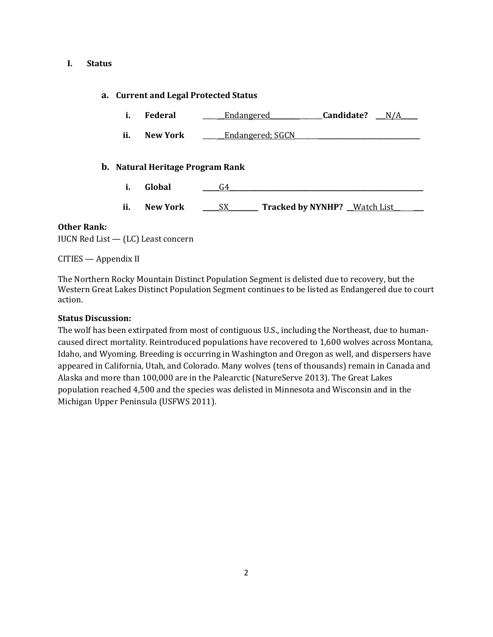#### **I. Status**

### **a. Current and Legal Protected Status**

- **i. Federal** \_\_\_\_ \_\_Endangered\_\_\_\_\_\_\_\_\_\_\_\_\_\_\_\_**Candidate?** \_\_\_N/A\_\_\_\_\_
- **ii. New York Learning** Endangered; SGCN

### **b. Natural Heritage Program Rank**

- **i.** Global <u>G4</u>
- **ii. New York** \_\_\_\_\_SX\_\_\_\_\_\_\_\_\_ **Tracked by NYNHP?** \_\_Watch List\_\_ \_\_\_

#### **Other Rank:**

IUCN Red List — (LC) Least concern

CITIES — Appendix II

The Northern Rocky Mountain Distinct Population Segment is delisted due to recovery, but the Western Great Lakes Distinct Population Segment continues to be listed as Endangered due to court action.

### **Status Discussion:**

The wolf has been extirpated from most of contiguous U.S., including the Northeast, due to humancaused direct mortality. Reintroduced populations have recovered to 1,600 wolves across Montana, Idaho, and Wyoming. Breeding is occurring in Washington and Oregon as well, and dispersers have appeared in California, Utah, and Colorado. Many wolves (tens of thousands) remain in Canada and Alaska and more than 100,000 are in the Palearctic (NatureServe 2013). The Great Lakes population reached 4,500 and the species was delisted in Minnesota and Wisconsin and in the Michigan Upper Peninsula (USFWS 2011).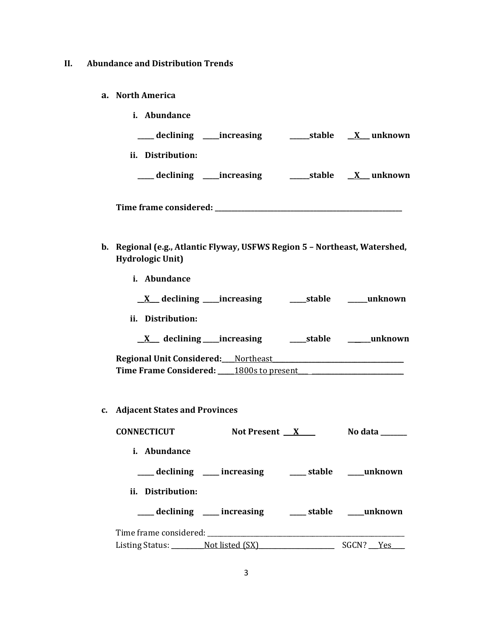- **II. Abundance and Distribution Trends**
	- **a. North America**

| <i>i.</i> Abundance                                                   |  |
|-----------------------------------------------------------------------|--|
|                                                                       |  |
| ii. Distribution:                                                     |  |
|                                                                       |  |
|                                                                       |  |
| Regional (e.g., Atlantic Flyway, HSFWS Region 5 - Northeast Watershed |  |

- **b. Regional (e.g., Atlantic Flyway, USFWS Region 5 – Northeast, Watershed, Hydrologic Unit)**
	- **i. Abundance**
		- \_\_**X**\_\_\_ **declining \_\_\_\_\_increasing \_\_\_\_\_stable \_\_\_\_\_\_unknown**
	- **ii. Distribution:**
		- \_\_**X**\_\_\_ **declining \_\_\_\_\_increasing \_\_\_\_\_stable \_\_\_\_\_\_\_unknown**

| <b>Regional Unit Considered:</b> Northeast |                  |
|--------------------------------------------|------------------|
| Time Frame Considered:                     | 1800s to present |

**c. Adjacent States and Provinces**

| <b>CONNECTICUT</b>              | Not Present X                                            | No data   |
|---------------------------------|----------------------------------------------------------|-----------|
| <i>i.</i> Abundance             |                                                          |           |
|                                 | ____ declining ____ increasing _____ stable ____ unknown |           |
| ii. Distribution:               |                                                          |           |
|                                 | declining ____ increasing _____ stable ____ unknown      |           |
|                                 |                                                          |           |
| Listing Status: Not listed (SX) |                                                          | SGCN? Yes |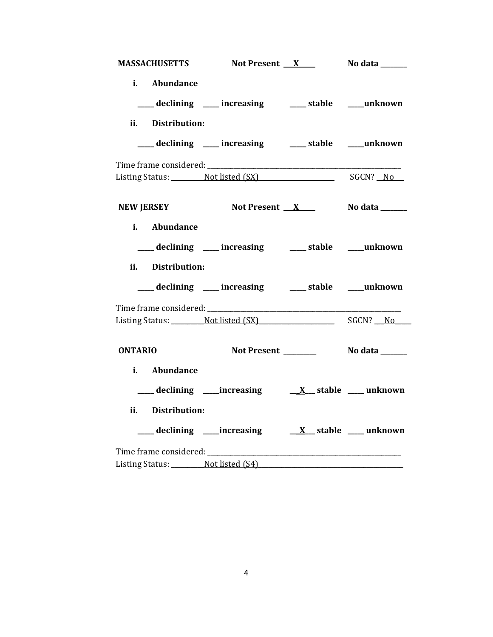| MASSACHUSETTS Not Present X No data                                                                                                                                                                                            |                                                     |  |
|--------------------------------------------------------------------------------------------------------------------------------------------------------------------------------------------------------------------------------|-----------------------------------------------------|--|
| i. Abundance                                                                                                                                                                                                                   |                                                     |  |
|                                                                                                                                                                                                                                | ___ declining ___ increasing ___ stable ___ unknown |  |
| ii. Distribution:                                                                                                                                                                                                              |                                                     |  |
|                                                                                                                                                                                                                                | declining ___ increasing ___ stable ___ unknown     |  |
|                                                                                                                                                                                                                                |                                                     |  |
| Listing Status: Not listed (SX) SGCN? No                                                                                                                                                                                       |                                                     |  |
| NEW JERSEY Not Present X No data _____                                                                                                                                                                                         |                                                     |  |
| i. Abundance                                                                                                                                                                                                                   |                                                     |  |
|                                                                                                                                                                                                                                | declining ___ increasing ____ stable ____ unknown   |  |
| ii. Distribution:                                                                                                                                                                                                              |                                                     |  |
|                                                                                                                                                                                                                                | declining ___ increasing ___ stable ___ unknown     |  |
|                                                                                                                                                                                                                                |                                                     |  |
| Listing Status: Not listed (SX) SGCN? No                                                                                                                                                                                       |                                                     |  |
| <b>ONTARIO</b>                                                                                                                                                                                                                 |                                                     |  |
| i. Abundance                                                                                                                                                                                                                   |                                                     |  |
|                                                                                                                                                                                                                                |                                                     |  |
| ii. Distribution:                                                                                                                                                                                                              |                                                     |  |
|                                                                                                                                                                                                                                |                                                     |  |
| Time frame considered: Time and the constant of the constant of the constant of the constant of the constant of the constant of the constant of the constant of the constant of the constant of the constant of the constant o |                                                     |  |
| Listing Status: Not listed (S4)                                                                                                                                                                                                |                                                     |  |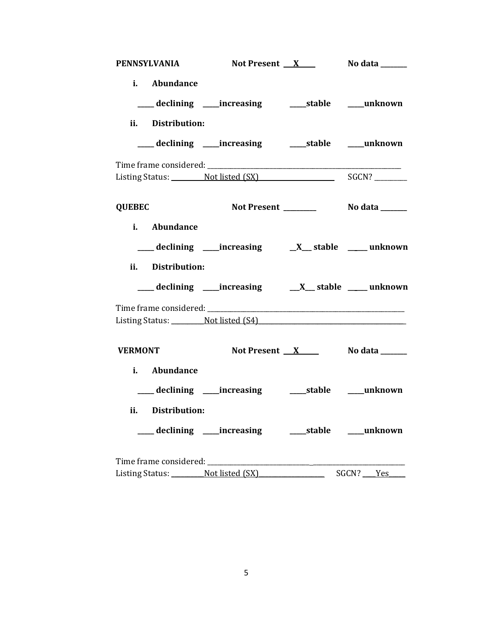| <b>PENNSYLVANIA</b>             | Not Present <u>X</u> No data _____                          |                          |           |
|---------------------------------|-------------------------------------------------------------|--------------------------|-----------|
| i. Abundance                    | ___ declining ____increasing _______stable _____unknown     |                          |           |
| ii. Distribution:               |                                                             |                          |           |
|                                 | ___ declining ____ increasing ______ stable _____ unknown   |                          |           |
|                                 |                                                             |                          |           |
|                                 | Listing Status: Not listed (SX) SGCN?                       |                          |           |
| <b>QUEBEC</b>                   |                                                             |                          |           |
| i. Abundance                    |                                                             |                          |           |
|                                 |                                                             |                          |           |
| ii. Distribution:               |                                                             |                          |           |
|                                 | ___ declining ____ increasing ____ X___ stable ____ unknown |                          |           |
|                                 |                                                             |                          |           |
|                                 | Listing Status: Not listed (S4)                             |                          |           |
| <b>VERMONT</b>                  | Not Present X No data ______                                |                          |           |
| i. Abundance                    |                                                             |                          |           |
|                                 | ___ declining ___ increasing ____ stable ___ unknown        |                          |           |
| ii. Distribution:               |                                                             |                          |           |
|                                 | ___ declining ____increasing ______stable ____unknown       |                          |           |
|                                 |                                                             |                          |           |
| Listing Status: Not listed (SX) |                                                             | $\overline{\phantom{0}}$ | SGCN? Yes |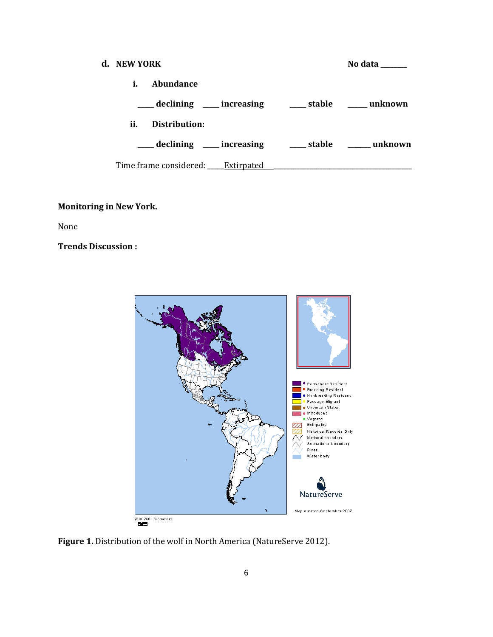| d. NEW YORK |               |                                   | No data                                               |
|-------------|---------------|-----------------------------------|-------------------------------------------------------|
| i.          | Abundance     |                                   |                                                       |
|             |               |                                   | declining ____ increasing _____ stable _____ unknown  |
| ii.         | Distribution: |                                   |                                                       |
|             |               |                                   | declining ____ increasing _____ stable ______ unknown |
|             |               | Time frame considered: Extirpated |                                                       |

# **Monitoring in New York.**

None

**Trends Discussion :**



Figure 1. Distribution of the wolf in North America (NatureServe 2012).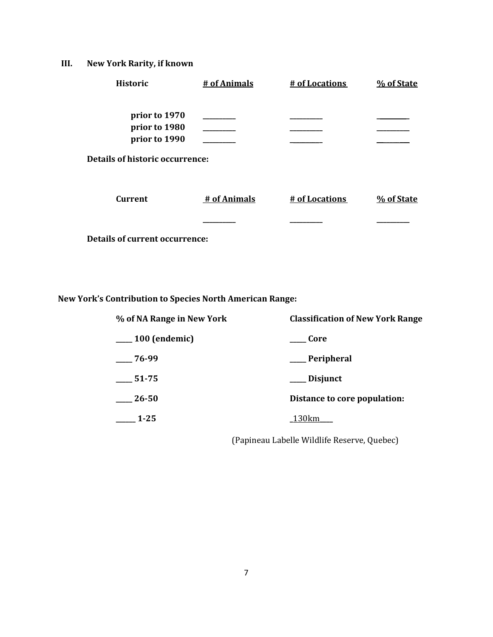# **III. New York Rarity, if known**

| <b>Historic</b>                                         | # of Animals | # of Locations | % of State |
|---------------------------------------------------------|--------------|----------------|------------|
| prior to 1970<br>prior to 1980                          |              |                |            |
| prior to 1990<br><b>Details of historic occurrence:</b> |              |                |            |
| <b>Current</b>                                          | # of Animals | # of Locations | % of State |
|                                                         |              |                |            |
| <b>Details of current occurrence:</b>                   |              |                |            |

**New York's Contribution to Species North American Range:**

| % of NA Range in New York    | <b>Classification of New York Range</b> |  |
|------------------------------|-----------------------------------------|--|
| <sub>___</sub> 100 (endemic) | Core                                    |  |
| $-76-99$                     | __ Peripheral                           |  |
| 51-75                        | Disjunct                                |  |
| 26-50                        | Distance to core population:            |  |
| $1-25$                       | 130km                                   |  |

(Papineau Labelle Wildlife Reserve, Quebec)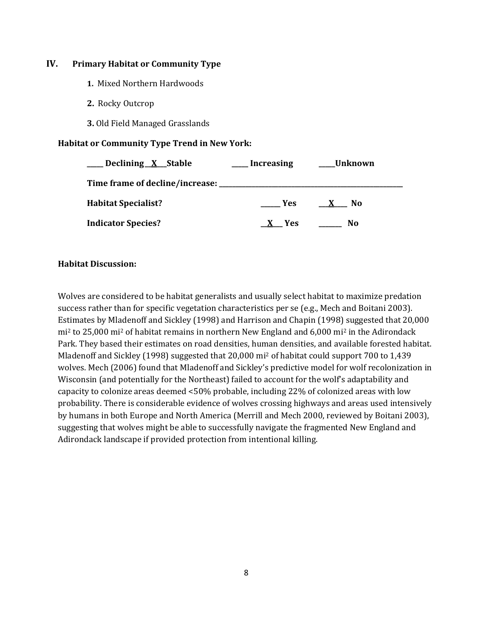### **IV. Primary Habitat or Community Type**

- **1.** Mixed Northern Hardwoods
- **2.** Rocky Outcrop
- **3.** Old Field Managed Grasslands

### **Habitat or Community Type Trend in New York:**

| Declining X Stable              | <b>Increasing</b> | Unknown             |
|---------------------------------|-------------------|---------------------|
| Time frame of decline/increase: |                   |                     |
| <b>Habitat Specialist?</b>      | <b>Yes</b>        | No.<br>$\mathbf{x}$ |
| <b>Indicator Species?</b>       | <b>Yes</b>        | No                  |

### **Habitat Discussion:**

Wolves are considered to be habitat generalists and usually select habitat to maximize predation success rather than for specific vegetation characteristics per se (e.g., Mech and Boitani 2003). Estimates by Mladenoff and Sickley (1998) and Harrison and Chapin (1998) suggested that 20,000 mi<sup>2</sup> to 25,000 mi<sup>2</sup> of habitat remains in northern New England and 6,000 mi<sup>2</sup> in the Adirondack Park. They based their estimates on road densities, human densities, and available forested habitat. Mladenoff and Sickley (1998) suggested that 20,000 mi<sup>2</sup> of habitat could support 700 to 1,439 wolves. Mech (2006) found that Mladenoff and Sickley's predictive model for wolf recolonization in Wisconsin (and potentially for the Northeast) failed to account for the wolf's adaptability and capacity to colonize areas deemed <50% probable, including 22% of colonized areas with low probability. There is considerable evidence of wolves crossing highways and areas used intensively by humans in both Europe and North America (Merrill and Mech 2000, reviewed by Boitani 2003), suggesting that wolves might be able to successfully navigate the fragmented New England and Adirondack landscape if provided protection from intentional killing.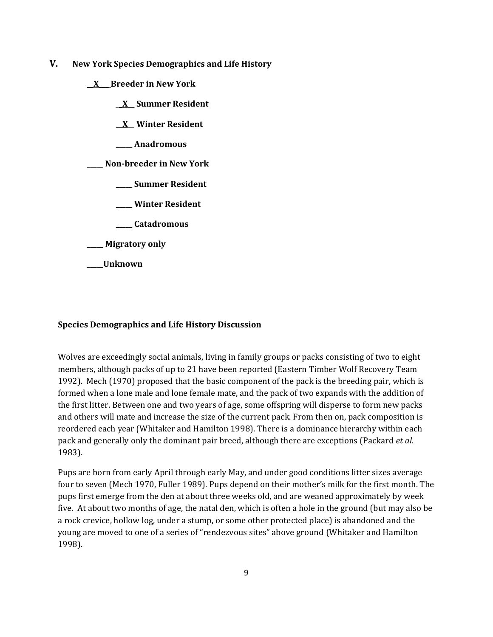- **V. New York Species Demographics and Life History**
	- \_\_**X**\_\_\_ **Breeder in New York**
		- \_\_**X\_\_ Summer Resident**
		- **\_\_X**\_\_ **Winter Resident**
		- **\_\_\_\_\_ Anadromous**

**\_\_\_\_\_ Non-breeder in New York**

- **\_\_\_\_\_ Summer Resident**
- **\_\_\_\_\_ Winter Resident**
- **\_\_\_\_\_ Catadromous**
- **\_\_\_\_\_ Migratory only**
- **\_\_\_\_\_Unknown**

## **Species Demographics and Life History Discussion**

Wolves are exceedingly social animals, living in family groups or packs consisting of two to eight members, although packs of up to 21 have been reported (Eastern Timber Wolf Recovery Team 1992). Mech (1970) proposed that the basic component of the pack is the breeding pair, which is formed when a lone male and lone female mate, and the pack of two expands with the addition of the first litter. Between one and two years of age, some offspring will disperse to form new packs and others will mate and increase the size of the current pack. From then on, pack composition is reordered each year (Whitaker and Hamilton 1998). There is a dominance hierarchy within each pack and generally only the dominant pair breed, although there are exceptions (Packard *et al.* 1983).

Pups are born from early April through early May, and under good conditions litter sizes average four to seven (Mech 1970, Fuller 1989). Pups depend on their mother's milk for the first month. The pups first emerge from the den at about three weeks old, and are weaned approximately by week five. At about two months of age, the natal den, which is often a hole in the ground (but may also be a rock crevice, hollow log, under a stump, or some other protected place) is abandoned and the young are moved to one of a series of "rendezvous sites" above ground (Whitaker and Hamilton 1998).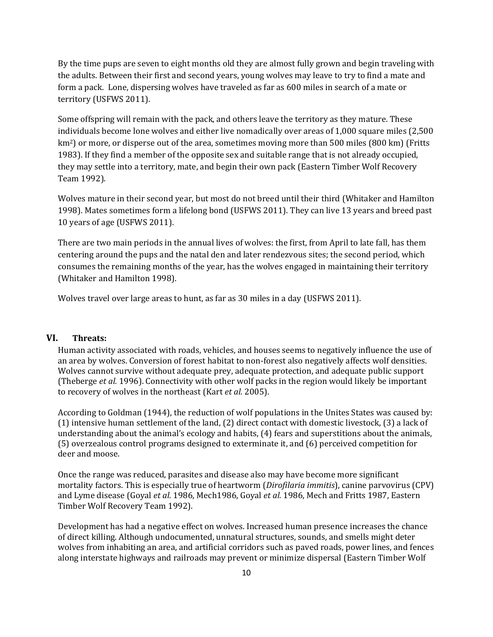By the time pups are seven to eight months old they are almost fully grown and begin traveling with the adults. Between their first and second years, young wolves may leave to try to find a mate and form a pack. Lone, dispersing wolves have traveled as far as 600 miles in search of a mate or territory (USFWS 2011).

Some offspring will remain with the pack, and others leave the territory as they mature. These individuals become lone wolves and either live nomadically over areas of 1,000 square miles (2,500 km2) or more, or disperse out of the area, sometimes moving more than 500 miles (800 km) (Fritts 1983). If they find a member of the opposite sex and suitable range that is not already occupied, they may settle into a territory, mate, and begin their own pack (Eastern Timber Wolf Recovery Team 1992).

Wolves mature in their second year, but most do not breed until their third (Whitaker and Hamilton 1998). Mates sometimes form a lifelong bond (USFWS 2011). They can live 13 years and breed past 10 years of age (USFWS 2011).

There are two main periods in the annual lives of wolves: the first, from April to late fall, has them centering around the pups and the natal den and later rendezvous sites; the second period, which consumes the remaining months of the year, has the wolves engaged in maintaining their territory (Whitaker and Hamilton 1998).

Wolves travel over large areas to hunt, as far as 30 miles in a day (USFWS 2011).

#### **VI. Threats:**

Human activity associated with roads, vehicles, and houses seems to negatively influence the use of an area by wolves. Conversion of forest habitat to non-forest also negatively affects wolf densities. Wolves cannot survive without adequate prey, adequate protection, and adequate public support (Theberge *et al.* 1996). Connectivity with other wolf packs in the region would likely be important to recovery of wolves in the northeast (Kart *et al.* 2005).

According to Goldman (1944), the reduction of wolf populations in the Unites States was caused by: (1) intensive human settlement of the land, (2) direct contact with domestic livestock, (3) a lack of understanding about the animal's ecology and habits, (4) fears and superstitions about the animals, (5) overzealous control programs designed to exterminate it, and (6) perceived competition for deer and moose.

Once the range was reduced, parasites and disease also may have become more significant mortality factors. This is especially true of heartworm (*Dirofilaria immitis*), canine parvovirus (CPV) and Lyme disease (Goyal *et al.* 1986, Mech1986, Goyal *et al.* 1986, Mech and Fritts 1987, Eastern Timber Wolf Recovery Team 1992).

Development has had a negative effect on wolves. Increased human presence increases the chance of direct killing. Although undocumented, unnatural structures, sounds, and smells might deter wolves from inhabiting an area, and artificial corridors such as paved roads, power lines, and fences along interstate highways and railroads may prevent or minimize dispersal (Eastern Timber Wolf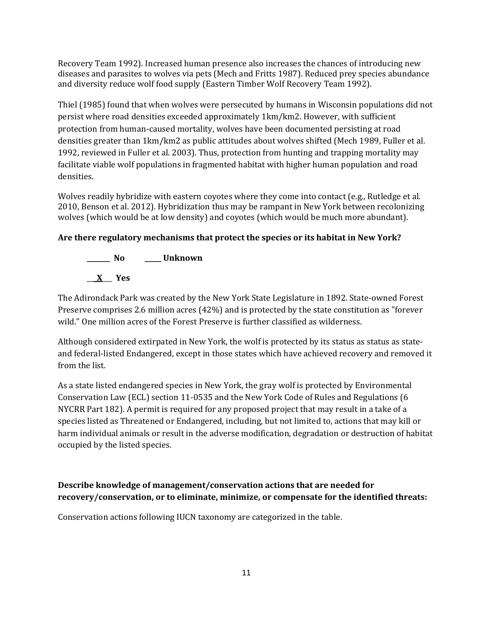Recovery Team 1992). Increased human presence also increases the chances of introducing new diseases and parasites to wolves via pets (Mech and Fritts 1987). Reduced prey species abundance and diversity reduce wolf food supply (Eastern Timber Wolf Recovery Team 1992).

Thiel (1985) found that when wolves were persecuted by humans in Wisconsin populations did not persist where road densities exceeded approximately 1km/km2. However, with sufficient protection from human-caused mortality, wolves have been documented persisting at road densities greater than 1km/km2 as public attitudes about wolves shifted (Mech 1989, Fuller et al. 1992, reviewed in Fuller et al. 2003). Thus, protection from hunting and trapping mortality may facilitate viable wolf populations in fragmented habitat with higher human population and road densities.

Wolves readily hybridize with eastern coyotes where they come into contact (e.g., Rutledge et al. 2010, Benson et al. 2012). Hybridization thus may be rampant in New York between recolonizing wolves (which would be at low density) and coyotes (which would be much more abundant).

## **Are there regulatory mechanisms that protect the species or its habitat in New York?**



The Adirondack Park was created by the New York State Legislature in 1892. State-owned Forest Preserve comprises 2.6 million acres (42%) and is protected by the state constitution as "forever wild." One million acres of the Forest Preserve is further classified as wilderness.

Although considered extirpated in New York, the wolf is protected by its status as status as stateand federal-listed Endangered, except in those states which have achieved recovery and removed it from the list.

As a state listed endangered species in New York, the gray wolf is protected by Environmental Conservation Law (ECL) section 11-0535 and the New York Code of Rules and Regulations (6 NYCRR Part 182). A permit is required for any proposed project that may result in a take of a species listed as Threatened or Endangered, including, but not limited to, actions that may kill or harm individual animals or result in the adverse modification, degradation or destruction of habitat occupied by the listed species.

# **Describe knowledge of management/conservation actions that are needed for recovery/conservation, or to eliminate, minimize, or compensate for the identified threats:**

Conservation actions following IUCN taxonomy are categorized in the table.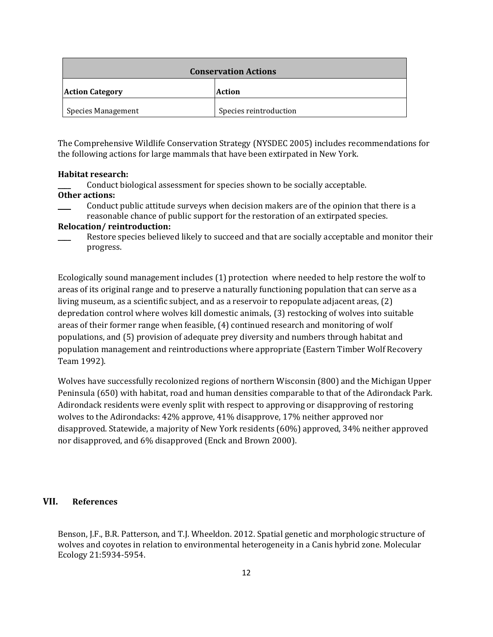| <b>Conservation Actions</b> |                        |
|-----------------------------|------------------------|
| <b>Action Category</b>      | Action                 |
| <b>Species Management</b>   | Species reintroduction |

The Comprehensive Wildlife Conservation Strategy (NYSDEC 2005) includes recommendations for the following actions for large mammals that have been extirpated in New York.

#### **Habitat research:**

\_\_\_\_ Conduct biological assessment for species shown to be socially acceptable.

#### **Other actions:**

\_\_\_\_ Conduct public attitude surveys when decision makers are of the opinion that there is a reasonable chance of public support for the restoration of an extirpated species.

#### **Relocation/ reintroduction:**

Ecologically sound management includes (1) protection where needed to help restore the wolf to areas of its original range and to preserve a naturally functioning population that can serve as a living museum, as a scientific subject, and as a reservoir to repopulate adjacent areas, (2) depredation control where wolves kill domestic animals, (3) restocking of wolves into suitable areas of their former range when feasible, (4) continued research and monitoring of wolf populations, and (5) provision of adequate prey diversity and numbers through habitat and population management and reintroductions where appropriate (Eastern Timber Wolf Recovery Team 1992).

Wolves have successfully recolonized regions of northern Wisconsin (800) and the Michigan Upper Peninsula (650) with habitat, road and human densities comparable to that of the Adirondack Park. Adirondack residents were evenly split with respect to approving or disapproving of restoring wolves to the Adirondacks: 42% approve, 41% disapprove, 17% neither approved nor disapproved. Statewide, a majority of New York residents (60%) approved, 34% neither approved nor disapproved, and 6% disapproved (Enck and Brown 2000).

### **VII. References**

Benson, J.F., B.R. Patterson, and T.J. Wheeldon. 2012. Spatial genetic and morphologic structure of wolves and coyotes in relation to environmental heterogeneity in a Canis hybrid zone. Molecular Ecology 21:5934-5954.

Restore species believed likely to succeed and that are socially acceptable and monitor their progress.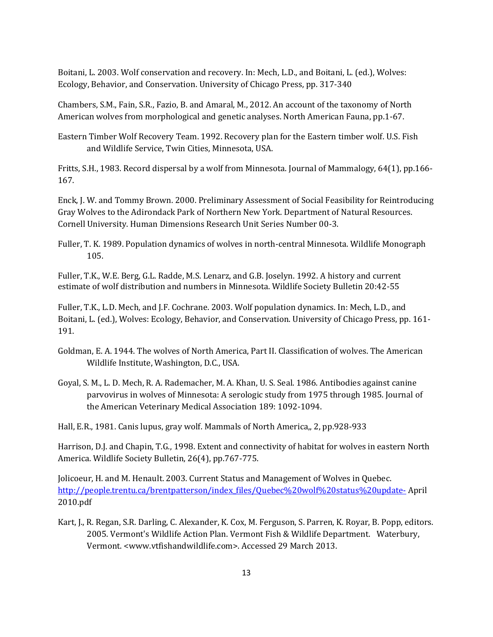Boitani, L. 2003. Wolf conservation and recovery. In: Mech, L.D., and Boitani, L. (ed.), Wolves: Ecology, Behavior, and Conservation. University of Chicago Press, pp. 317-340

Chambers, S.M., Fain, S.R., Fazio, B. and Amaral, M., 2012. An account of the taxonomy of North American wolves from morphological and genetic analyses. North American Fauna, pp.1-67.

Eastern Timber Wolf Recovery Team. 1992. Recovery plan for the Eastern timber wolf. U.S. Fish and Wildlife Service, Twin Cities, Minnesota, USA.

Fritts, S.H., 1983. Record dispersal by a wolf from Minnesota. Journal of Mammalogy, 64(1), pp.166- 167.

Enck, J. W. and Tommy Brown. 2000. Preliminary Assessment of Social Feasibility for Reintroducing Gray Wolves to the Adirondack Park of Northern New York. Department of Natural Resources. Cornell University. Human Dimensions Research Unit Series Number 00-3.

Fuller, T. K. 1989. Population dynamics of wolves in north-central Minnesota. Wildlife Monograph 105.

Fuller, T.K., W.E. Berg, G.L. Radde, M.S. Lenarz, and G.B. Joselyn. 1992. A history and current estimate of wolf distribution and numbers in Minnesota. Wildlife Society Bulletin 20:42-55

Fuller, T.K., L.D. Mech, and J.F. Cochrane. 2003. Wolf population dynamics. In: Mech, L.D., and Boitani, L. (ed.), Wolves: Ecology, Behavior, and Conservation. University of Chicago Press, pp. 161- 191.

- Goldman, E. A. 1944. The wolves of North America, Part II. Classification of wolves. The American Wildlife Institute, Washington, D.C., USA.
- Goyal, S. M., L. D. Mech, R. A. Rademacher, M. A. Khan, U. S. Seal. 1986. Antibodies against canine parvovirus in wolves of Minnesota: A serologic study from 1975 through 1985. Journal of the American Veterinary Medical Association 189: 1092-1094.

Hall, E.R., 1981. Canis lupus, gray wolf. Mammals of North America,, 2, pp.928-933

Harrison, D.J. and Chapin, T.G., 1998. Extent and connectivity of habitat for wolves in eastern North America. Wildlife Society Bulletin, 26(4), pp.767-775.

Jolicoeur, H. and M. Henault. 2003. Current Status and Management of Wolves in Quebec. [http://people.trentu.ca/brentpatterson/index\\_files/Quebec%20wolf%20status%20update-](http://people.trentu.ca/brentpatterson/index_files/Quebec%20wolf%20status%20update-) April 2010.pdf

Kart, J., R. Regan, S.R. Darling, C. Alexander, K. Cox, M. Ferguson, S. Parren, K. Royar, B. Popp, editors. 2005. Vermont's Wildlife Action Plan. Vermont Fish & Wildlife Department. Waterbury, Vermont. <www.vtfishandwildlife.com>. Accessed 29 March 2013.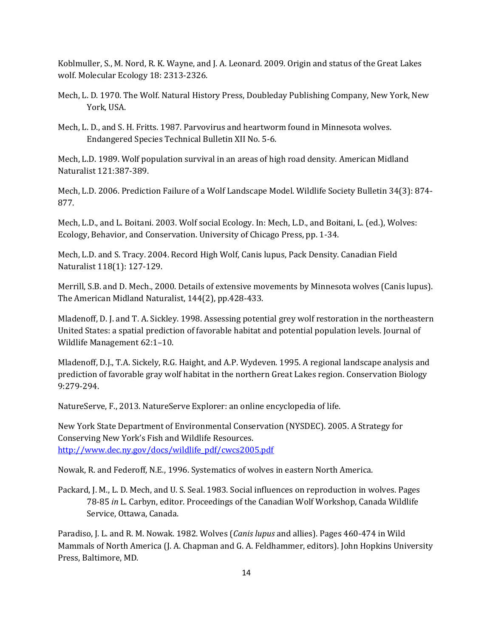Koblmuller, S., M. Nord, R. K. Wayne, and J. A. Leonard. 2009. Origin and status of the Great Lakes wolf. Molecular Ecology 18: 2313-2326.

- Mech, L. D. 1970. The Wolf. Natural History Press, Doubleday Publishing Company, New York, New York, USA.
- Mech, L. D., and S. H. Fritts. 1987. Parvovirus and heartworm found in Minnesota wolves. Endangered Species Technical Bulletin XII No. 5-6.

Mech, L.D. 1989. Wolf population survival in an areas of high road density. American Midland Naturalist 121:387-389.

Mech, L.D. 2006. Prediction Failure of a Wolf Landscape Model. Wildlife Society Bulletin 34(3): 874- 877.

Mech, L.D., and L. Boitani. 2003. Wolf social Ecology. In: Mech, L.D., and Boitani, L. (ed.), Wolves: Ecology, Behavior, and Conservation. University of Chicago Press, pp. 1-34.

Mech, L.D. and S. Tracy. 2004. Record High Wolf, Canis lupus, Pack Density. Canadian Field Naturalist 118(1): 127-129.

Merrill, S.B. and D. Mech., 2000. Details of extensive movements by Minnesota wolves (Canis lupus). The American Midland Naturalist, 144(2), pp.428-433.

Mladenoff, D. J. and T. A. Sickley. 1998. Assessing potential grey wolf restoration in the northeastern United States: a spatial prediction of favorable habitat and potential population levels. Journal of Wildlife Management 62:1–10.

Mladenoff, D.J., T.A. Sickely, R.G. Haight, and A.P. Wydeven. 1995. A regional landscape analysis and prediction of favorable gray wolf habitat in the northern Great Lakes region. Conservation Biology 9:279-294.

NatureServe, F., 2013. NatureServe Explorer: an online encyclopedia of life.

New York State Department of Environmental Conservation (NYSDEC). 2005. A Strategy for Conserving New York's Fish and Wildlife Resources. [http://www.dec.ny.gov/docs/wildlife\\_pdf/cwcs2005.pdf](http://www.dec.ny.gov/docs/wildlife_pdf/cwcs2005.pdf)

Nowak, R. and Federoff, N.E., 1996. Systematics of wolves in eastern North America.

Packard, J. M., L. D. Mech, and U. S. Seal. 1983. Social influences on reproduction in wolves. Pages 78-85 *in* L. Carbyn, editor. Proceedings of the Canadian Wolf Workshop, Canada Wildlife Service, Ottawa, Canada.

Paradiso, J. L. and R. M. Nowak. 1982. Wolves (*Canis lupus* and allies). Pages 460-474 in Wild Mammals of North America (J. A. Chapman and G. A. Feldhammer, editors). John Hopkins University Press, Baltimore, MD.